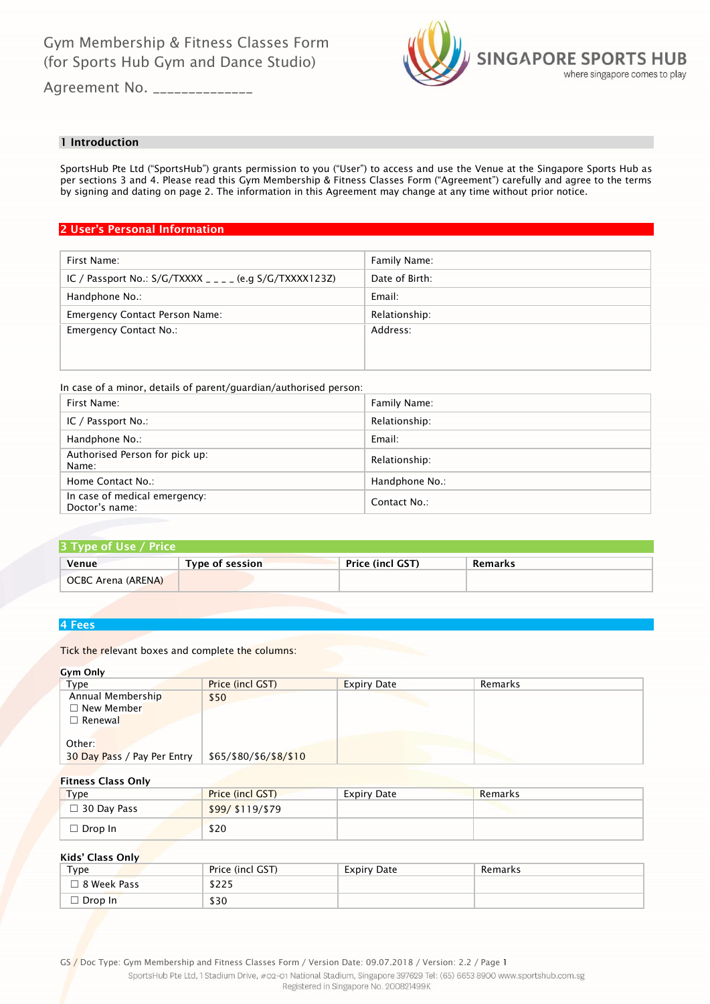

Agreement No. \_\_\_\_\_\_\_\_\_\_\_\_\_\_\_

# 1 Introduction

SportsHub Pte Ltd ("SportsHub") grants permission to you ("User") to access and use the Venue at the Singapore Sports Hub as per sections 3 and 4. Please read this Gym Membership & Fitness Classes Form ("Agreement") carefully and agree to the terms by signing and dating on page 2. The information in this Agreement may change at any time without prior notice.

# 2 User's Personal Information

| Family Name:   |
|----------------|
| Date of Birth: |
| Email:         |
| Relationship:  |
| Address:       |
|                |
|                |

In case of a minor, details of parent/guardian/authorised person:

| First Name:                                     | Family Name:   |
|-------------------------------------------------|----------------|
| IC / Passport No.:                              | Relationship:  |
| Handphone No.:                                  | Email:         |
| Authorised Person for pick up:<br>Name:         | Relationship:  |
| Home Contact No.:                               | Handphone No.: |
| In case of medical emergency:<br>Doctor's name: | Contact No.:   |

# 3 Type of Use / Price Venue Type of session Price (incl GST) Remarks OCBC Arena (ARENA)

### 4 Fees

Tick the relevant boxes and complete the columns:

### Gym Only

| Type                        | Price (incl GST)       | <b>Expiry Date</b> | Remarks |
|-----------------------------|------------------------|--------------------|---------|
| Annual Membership           | \$50                   |                    |         |
| $\Box$ New Member           |                        |                    |         |
| $\sqcap$ Renewal            |                        |                    |         |
|                             |                        |                    |         |
| Other:                      |                        |                    |         |
| 30 Day Pass / Pay Per Entry | \$65/\$80/\$6/\$8/\$10 |                    |         |

# Fitness Class Only

| Type               | <b>Price (incl GST)</b> | <b>Expiry Date</b> | Remarks |
|--------------------|-------------------------|--------------------|---------|
| $\Box$ 30 Day Pass | \$99/ \$119/ \$79       |                    |         |
| $\Box$ Drop In     | \$20                    |                    |         |

### Kids' Class Only

| $_{\text{Type}}$   | Price (incl GST) | Expiry Date | Remarks |
|--------------------|------------------|-------------|---------|
| $\Box$ 8 Week Pass | \$225            |             |         |
| $\Box$ Drop In     | \$30             |             |         |

GS / Doc Type: Gym Membership and Fitness Classes Form / Version Date: 09.07.2018 / Version: 2.2 / Page 1

SportsHub Pte Ltd, 1 Stadium Drive, #02-01 National Stadium, Singapore 397629 Tel: (65) 6653 8900 www.sportshub.com.sg Registered in Singapore No. 200821499K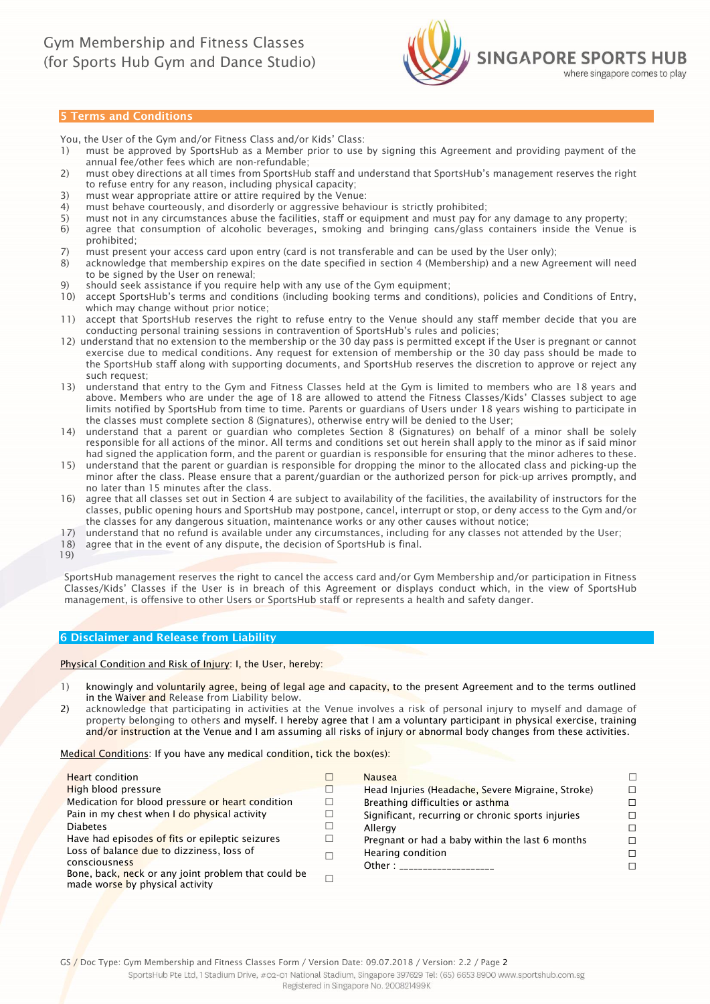

### 5 Terms and Conditions

You, the User of the Gym and/or Fitness Class and/or Kids' Class:

- 1) must be approved by SportsHub as a Member prior to use by signing this Agreement and providing payment of the annual fee/other fees which are non-refundable;
- 2) must obey directions at all times from SportsHub staff and understand that SportsHub's management reserves the right to refuse entry for any reason, including physical capacity;
- 3) must wear appropriate attire or attire required by the Venue:
- 4) must behave courteously, and disorderly or aggressive behaviour is strictly prohibited;
- 5) must not in any circumstances abuse the facilities, staff or equipment and must pay for any damage to any property;
- 6) agree that consumption of alcoholic beverages, smoking and bringing cans/glass containers inside the Venue is prohibited;
- 7) must present your access card upon entry (card is not transferable and can be used by the User only);
- 8) acknowledge that membership expires on the date specified in section 4 (Membership) and a new Agreement will need to be signed by the User on renewal;
- 9) should seek assistance if you require help with any use of the Gym equipment;
- 10) accept SportsHub's terms and conditions (including booking terms and conditions), policies and Conditions of Entry, which may change without prior notice;
- 11) accept that SportsHub reserves the right to refuse entry to the Venue should any staff member decide that you are conducting personal training sessions in contravention of SportsHub's rules and policies;
- 12) understand that no extension to the membership or the 30 day pass is permitted except if the User is pregnant or cannot exercise due to medical conditions. Any request for extension of membership or the 30 day pass should be made to the SportsHub staff along with supporting documents, and SportsHub reserves the discretion to approve or reject any such request;
- 13) understand that entry to the Gym and Fitness Classes held at the Gym is limited to members who are 18 years and above. Members who are under the age of 18 are allowed to attend the Fitness Classes/Kids' Classes subject to age limits notified by SportsHub from time to time. Parents or guardians of Users under 18 years wishing to participate in the classes must complete section 8 (Signatures), otherwise entry will be denied to the User;
- 14) understand that a parent or guardian who completes Section 8 (Signatures) on behalf of a minor shall be solely responsible for all actions of the minor. All terms and conditions set out herein shall apply to the minor as if said minor had signed the application form, and the parent or guardian is responsible for ensuring that the minor adheres to these.
- 15) understand that the parent or guardian is responsible for dropping the minor to the allocated class and picking-up the minor after the class. Please ensure that a parent/guardian or the authorized person for pick-up arrives promptly, and no later than 15 minutes after the class.
- 16) agree that all classes set out in Section 4 are subject to availability of the facilities, the availability of instructors for the classes, public opening hours and SportsHub may postpone, cancel, interrupt or stop, or deny access to the Gym and/or the classes for any dangerous situation, maintenance works or any other causes without notice;
- 17) understand that no refund is available under any circumstances, including for any classes not attended by the User;
- 18) agree that in the event of any dispute, the decision of SportsHub is final.
- 19)

SportsHub management reserves the right to cancel the access card and/or Gym Membership and/or participation in Fitness Classes/Kids' Classes if the User is in breach of this Agreement or displays conduct which, in the view of SportsHub management, is offensive to other Users or SportsHub staff or represents a health and safety danger.

#### 6 Disclaimer and Release from Liability

Physical Condition and Risk of Injury: I, the User, hereby:

- 1) knowingly and voluntarily agree, being of legal age and capacity, to the present Agreement and to the terms outlined in the Waiver and Release from Liability below.
- 2) acknowledge that participating in activities at the Venue involves a risk of personal injury to myself and damage of property belonging to others and myself. I hereby agree that I am a voluntary participant in physical exercise, training and/or instruction at the Venue and I am assuming all risks of injury or abnormal body changes from these activities.

Medical Conditions: If you have any medical condition, tick the box(es):

|        | <b>Nausea</b>                                     | п.                   |
|--------|---------------------------------------------------|----------------------|
| $\Box$ | Head Injuries (Headache, Severe Migraine, Stroke) | П.                   |
| □      | Breathing difficulties or asthma                  | П.                   |
| $\Box$ | Significant, recurring or chronic sports injuries | П.                   |
| L      | Allergy                                           | П.                   |
|        | Pregnant or had a baby within the last 6 months   | П.                   |
|        | Hearing condition                                 | П.                   |
|        |                                                   | П.                   |
|        |                                                   |                      |
|        |                                                   | Other: _____________ |

GS / Doc Type: Gym Membership and Fitness Classes Form / Version Date: 09.07.2018 / Version: 2.2 / Page 2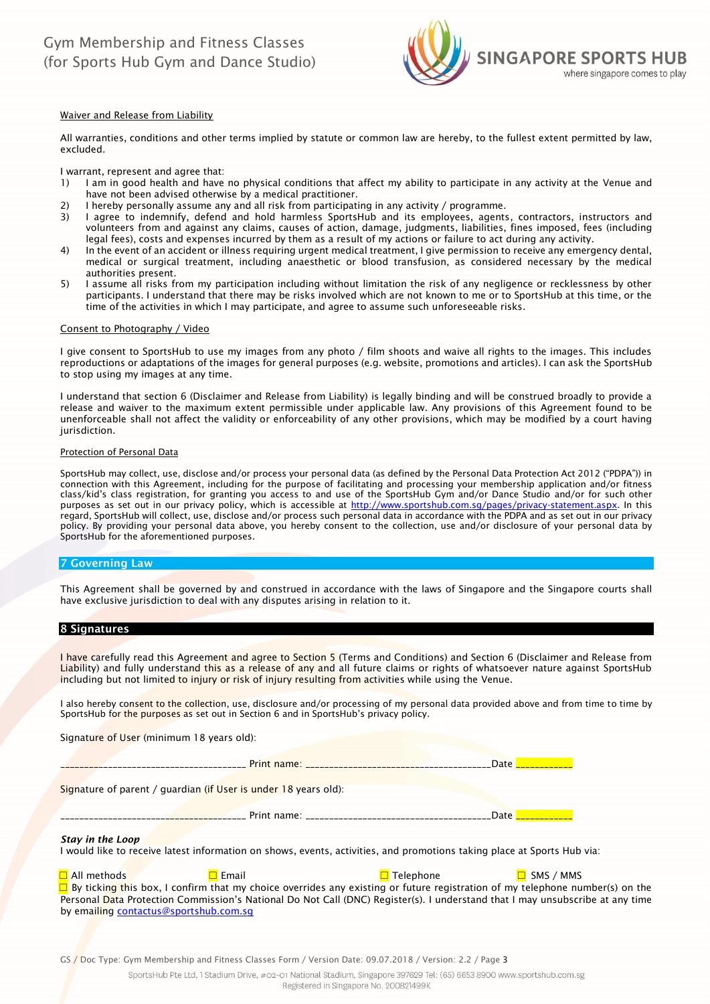

#### Waiver and Release from Liability

All warranties, conditions and other terms implied by statute or common law are hereby, to the fullest extent permitted by law, excluded.

I warrant, represent and agree that:

- 1) I am in good health and have no physical conditions that affect my ability to participate in any activity at the Venue and have not been advised otherwise by a medical practitioner.
- 2) I hereby personally assume any and all risk from participating in any activity / programme.
- 3) I agree to indemnify, defend and hold harmless SportsHub and its employees, agents, contractors, instructors and volunteers from and against any claims, causes of action, damage, judgments, liabilities, fines imposed, fees (including legal fees), costs and expenses incurred by them as a result of my actions or failure to act during any activity.
- 4) In the event of an accident or illness requiring urgent medical treatment, I give permission to receive any emergency dental, medical or surgical treatment, including anaesthetic or blood transfusion, as considered necessary by the medical authorities present.
- 5) I assume all risks from my participation including without limitation the risk of any negligence or recklessness by other participants. I understand that there may be risks involved which are not known to me or to SportsHub at this time, or the time of the activities in which I may participate, and agree to assume such unforeseeable risks.

#### Consent to Photography / Video

I give consent to SportsHub to use my images from any photo / film shoots and waive all rights to the images. This includes reproductions or adaptations of the images for general purposes (e.g. website, promotions and articles). I can ask the SportsHub to stop using my images at any time.

I understand that section 6 (Disclaimer and Release from Liability) is legally binding and will be construed broadly to provide a release and waiver to the maximum extent permissible under applicable law. Any provisions of this Agreement found to be unenforceable shall not affect the validity or enforceability of any other provisions, which may be modified by a court having jurisdiction.

#### Protection of Personal Data

SportsHub may collect, use, disclose and/or process your personal data (as defined by the Personal Data Protection Act 2012 ("PDPA")) in connection with this Agreement, including for the purpose of facilitating and processing your membership application and/or fitness class/kid's class registration, for granting you access to and use of the SportsHub Gym and/or Dance Studio and/or for such other purposes as set out in our privacy policy, which is accessible at [http://www.sportshub.com.sg/pages/privacy-statement.aspx.](http://www.sportshub.com.sg/pages/privacy-statement.aspx) In this regard, SportsHub will collect, use, disclose and/or process such personal data in accordance with the PDPA and as set out in our privacy policy. By providing your personal data above, you hereby consent to the collection, use and/or disclosure of your personal data by SportsHub for the aforementioned purposes.

#### 7 Governing Law

This Agreement shall be governed by and construed in accordance with the laws of Singapore and the Singapore courts shall have exclusive jurisdiction to deal with any disputes arising in relation to it.

#### 8 Signatures

I have carefully read this Agreement and agree to Section 5 (Terms and Conditions) and Section 6 (Disclaimer and Release from Liability) and fully understand this as a release of any and all future claims or rights of whatsoever nature against SportsHub including but not limited to injury or risk of injury resulting from activities while using the Venue.

I also hereby consent to the collection, use, disclosure and/or processing of my personal data provided above and from time to time by SportsHub for the purposes as set out in Section 6 and in SportsHub's privacy policy.

Signature of User (minimum 18 years old):

\_\_\_\_\_\_\_\_\_\_\_\_\_\_\_\_\_\_\_\_\_\_\_\_\_\_\_\_\_\_\_\_\_\_\_\_\_\_\_ Print name: \_\_\_\_\_\_\_\_\_\_\_\_\_\_\_\_\_\_\_\_\_\_\_\_\_\_\_\_\_\_\_\_\_\_\_\_\_\_\_Date \_\_\_\_\_\_\_\_\_\_\_\_

Signature of parent / guardian (if User is under 18 years old):

\_\_\_\_\_\_\_\_\_\_\_\_\_\_\_\_\_\_\_\_\_\_\_\_\_\_\_\_\_\_\_\_\_\_\_\_\_\_\_ Print name: \_\_\_\_\_\_\_\_\_\_\_\_\_\_\_\_\_\_\_\_\_\_\_\_\_\_\_\_\_\_\_\_\_\_\_\_\_\_\_Date \_\_\_\_\_\_\_\_\_\_\_\_

# *Stay in the Loop*

I would like to receive latest information on shows, events, activities, and promotions taking place at Sports Hub via:

☐ All methods ☐ Email ☐ Telephone ☐ SMS / MMS  $\square$  By ticking this box, I confirm that my choice overrides any existing or future registration of my telephone number(s) on the Personal Data Protection Commission's National Do Not Call (DNC) Register(s). I understand that I may unsubscribe at any time by emailing [contactus@sportshub.com.sg](mailto:contactus@sportshub.com.sg)

GS / Doc Type: Gym Membership and Fitness Classes Form / Version Date: 09.07.2018 / Version: 2.2 / Page 3